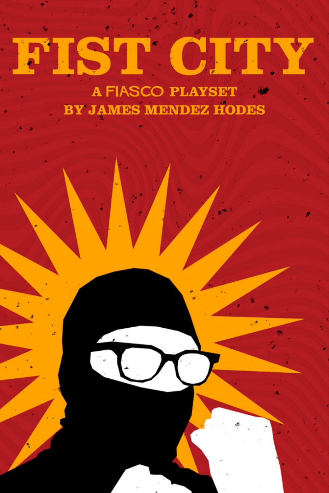# ISTI

**A FIASCO PLAYSET** BY JAMES MENDEZ HODES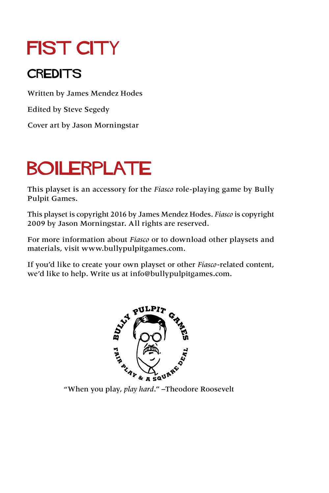## **FIST CITY**

#### **CREDITS**

Written by James Mendez Hodes

Edited by Steve Segedy

Cover art by Jason Morningstar

## **BOILERPLATE**

This playset is an accessory for the *Fiasco* role-playing game by Bully Pulpit Games.

This playset is copyright 2016 by James Mendez Hodes. *Fiasco* is copyright 2009 by Jason Morningstar. All rights are reserved.

For more information about *Fiasco* or to download other playsets and materials, visit [www.bullypulpitgames.com.](http://www.bullypulpitgames.com)

If you'd like to create your own playset or other *Fiasco*-related content, we'd like to help. Write us at [info@bullypulpitgames.com.](mailto:info%40bullypulpitgames.com?subject=)

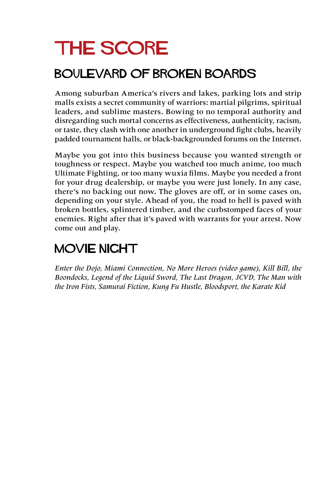## The Score

#### BOULEVARD OF BROKEN BOARDS

Among suburban America's rivers and lakes, parking lots and strip malls exists a secret community of warriors: martial pilgrims, spiritual leaders, and sublime masters. Bowing to no temporal authority and disregarding such mortal concerns as effectiveness, authenticity, racism, or taste, they clash with one another in underground fight clubs, heavily padded tournament halls, or black-backgrounded forums on the Internet.

Maybe you got into this business because you wanted strength or toughness or respect. Maybe you watched too much anime, too much Ultimate Fighting, or too many wuxia films. Maybe you needed a front for your drug dealership, or maybe you were just lonely. In any case, there's no backing out now. The gloves are off, or in some cases on, depending on your style. Ahead of you, the road to hell is paved with broken bottles, splintered timber, and the curbstomped faces of your enemies. Right after that it's paved with warrants for your arrest. Now come out and play.

#### MOVIE NIGHT

*Enter the Dojo, Miami Connection, No More Heroes (video game), Kill Bill, the Boondocks, Legend of the Liquid Sword, The Last Dragon, JCVD, The Man with the Iron Fists, Samurai Fiction, Kung Fu Hustle, Bloodsport, the Karate Kid*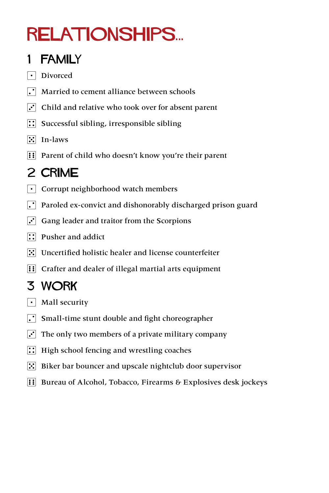## Relationships...

#### 1 FAMILY

- | Divorced
- $\cdot$  Married to cement alliance between schools
- $\left| \cdot \right|$  Child and relative who took over for absent parent
- $\boxed{\therefore}$  Successful sibling, irresponsible sibling
- $\left| \cdot \right|$  In-laws
- **EXECUTE:** Parent of child who doesn't know you're their parent

#### 2 CRIME

- $\lfloor \cdot \rfloor$  Corrupt neighborhood watch members
- $|\cdot|$  Paroled ex-convict and dishonorably discharged prison guard
- $|\cdot|$  Gang leader and traitor from the Scorpions
- $\boxed{\therefore}$  Pusher and addict
- $\mathbb{S}$  Uncertified holistic healer and license counterfeiter
- **::** Crafter and dealer of illegal martial arts equipment

#### 3 WORK

- $\lceil \cdot \rceil$  Mall security
- $\left| \cdot \right|$  Small-time stunt double and fight choreographer
- $|\cdot|$  The only two members of a private military company
- $\therefore$  High school fencing and wrestling coaches
- $\therefore$  Biker bar bouncer and upscale nightclub door supervisor
- **EXECUTE:** Bureau of Alcohol, Tobacco, Firearms & Explosives desk jockeys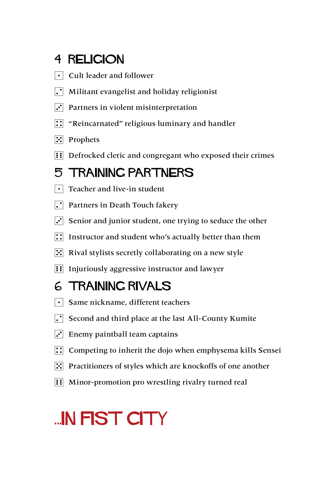#### 4 RELIGION

- $\overline{\cdot}$  Cult leader and follower
- $\cdot$  Militant evangelist and holiday religionist
- $\cdot$  Partners in violent misinterpretation
- $\left| \right|$  "Reincarnated" religious luminary and handler
- **7** Prophets
- **11** Defrocked cleric and congregant who exposed their crimes

#### 5 TRAINING PARTNERS

- $\lceil \cdot \rceil$  Teacher and live-in student
- $\Gamma$  Partners in Death Touch fakery
- $\mathbf{3}$  Senior and junior student, one trying to seduce the other
- $\left| \right|$  Instructor and student who's actually better than them
- $\left| \cdot \right|$  Rival stylists secretly collaborating on a new style
- **11** Injuriously aggressive instructor and lawyer

#### 6 TRAINING RIVALS

- $\lceil \cdot \rceil$  Same nickname, different teachers
- $\Gamma$  Second and third place at the last All-County Kumite
- $\ddot{\cdot}$  Enemy paintball team captains
- $\therefore$  Competing to inherit the dojo when emphysema kills Sensei
- $\left| \cdot \right|$  Practitioners of styles which are knockoffs of one another
- **11** Minor-promotion pro wrestling rivalry turned real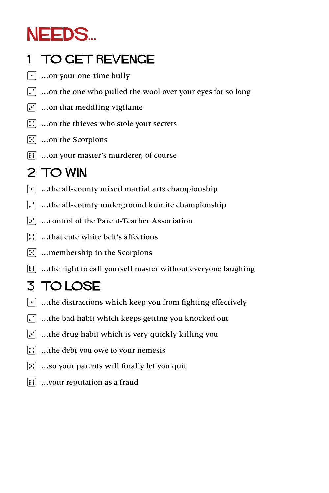## NEEDS...

#### 1 TO GET REVENGE

- $\lfloor \cdot \rfloor$  ...on your one-time bully
- $\lceil \cdot \rceil$  ...on the one who pulled the wool over your eyes for so long
- $\left| \cdot \right|$  ...on that meddling vigilante
- $\boxed{\therefore}$  ...on the thieves who stole your secrets
- $\mathbb{E}$  ...on the Scorpions
- **i:** …on your master's murderer, of course

#### 2 TO WIN

- $\lfloor \cdot \rfloor$  …the all-county mixed martial arts championship
- $\left| \cdot \right|$  …the all-county underground kumite championship
- $\cdot$  ... control of the Parent-Teacher Association
- $\boxed{\therefore}$  ...that cute white belt's affections
- $|\mathcal{F}|$  ... membership in the Scorpions
- **EE**: ...the right to call yourself master without everyone laughing

#### 3 TO LOSE

- $\lceil \cdot \rceil$  …the distractions which keep you from fighting effectively
- $\left| \cdot \right|$  ...the bad habit which keeps getting you knocked out
- $\left| \cdot \right|$  ...the drug habit which is very quickly killing you
- $\therefore$  ...the debt you owe to your nemesis
- $\left| \cdot \right|$  ...so your parents will finally let you quit
- $\left| \right|$  ... your reputation as a fraud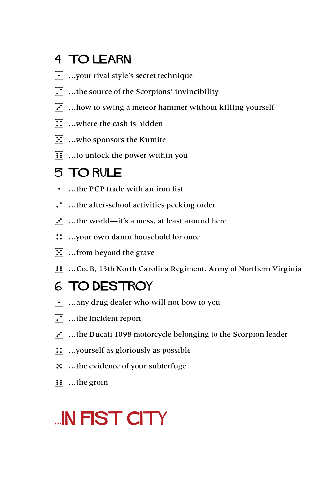#### 4 TO LEARN

- 1 …your rival style's secret technique
- $\cdot$  ...the source of the Scorpions' invincibility
- $\left[\cdot\right]$  ... how to swing a meteor hammer without killing yourself
- $\therefore$  …where the cash is hidden
- $\left| \because \right|$  ...who sponsors the Kumite
- $\left| \mathbf{ii} \right|$  ...to unlock the power within you

#### 5 TO Rule

- $\lvert \cdot \rvert$  ...the PCP trade with an iron fist
- $\cdot$  ...the after-school activities pecking order
- $\ddot{\cdot}$  ...the world—it's a mess, at least around here
- $\left| \right|$  ...your own damn household for once
- $\mathbb{E}$  ... from beyond the grave
- **[:]** ...Co. B, 13th North Carolina Regiment, Army of Northern Virginia

#### 6 TO DESTROY

- 1 …any drug dealer who will not bow to you
- $\Gamma$  ...the incident report
- $\overline{3}$  ...the Ducati 1098 motorcycle belonging to the Scorpion leader
- **::** ...yourself as gloriously as possible
- $\mathbb{S}$  ...the evidence of your subterfuge
- $\overline{f}$  ...the groin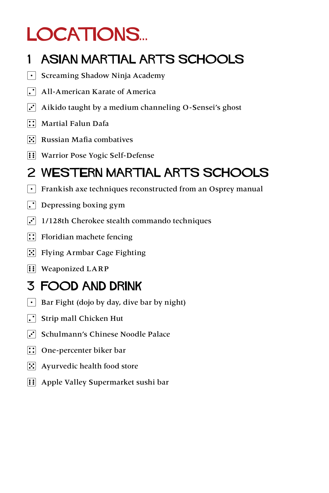## LOCATIONS...

#### 1 ASIAN MARTIAL ARTS SCHOOLS

- $\lceil \cdot \rceil$  Screaming Shadow Ninja Academy
- $\Gamma$  All-American Karate of America
- $\overline{3}$  Aikido taught by a medium channeling O-Sensei's ghost
- $\boxed{1}$  Martial Falun Dafa
- $\mathbb{E}$  Russian Mafia combatives
- **11 Warrior Pose Yogic Self-Defense**

#### 2 WESTERN MARTIAL Arts SCHOOLS

- $\lfloor \cdot \rfloor$  Frankish axe techniques reconstructed from an Osprey manual
- $\left| \cdot \right|$  Depressing boxing gym
- $\mathbf{3} \cdot \mathbf{1}$  1/128th Cherokee stealth commando techniques
- $\left| \right|$  Floridian machete fencing
- $\mathbb{E}$  Flying Armbar Cage Fighting
- $\boxed{\vdots}$  Weaponized LARP

#### 3 FOOD AND DRINK

- $\vert \cdot \vert$  Bar Fight (dojo by day, dive bar by night)
- $\left| \cdot \right|$  Strip mall Chicken Hut
- Schulmann's Chinese Noodle Palace
- **::** One-percenter biker bar
- $\mathbf{E}$  Ayurvedic health food store
- **11** Apple Valley Supermarket sushi bar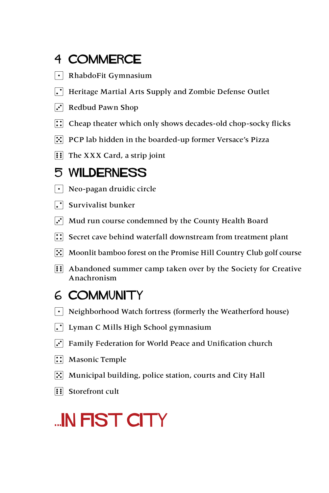#### 4 COMMERCE

- $\lceil \cdot \rceil$  RhabdoFit Gymnasium
- $\cdot$  Heritage Martial Arts Supply and Zombie Defense Outlet
- $\cdot$  Redbud Pawn Shop
- $\therefore$  Cheap theater which only shows decades-old chop-socky flicks
- F: PCP lab hidden in the boarded-up former Versace's Pizza
- $\left| \right|$  The XXX Card, a strip joint

#### 5 WILDERNESS

- $\lvert \cdot \rvert$  Neo-pagan druidic circle
- $\Gamma$  Survivalist bunker
- $\left| \cdot \right|$  Mud run course condemned by the County Health Board
- $\left| \cdot \right|$  Secret cave behind waterfall downstream from treatment plant
- **3. Moonlit bamboo forest on the Promise Hill Country Club golf course**
- **1:** Abandoned summer camp taken over by the Society for Creative Anachronism

#### 6 COMMUNITY

- $\lceil \cdot \rceil$  Neighborhood Watch fortress (formerly the Weatherford house)
- $\lfloor \cdot \rfloor$  Lyman C Mills High School gymnasium
- $\ddot{\cdot}$  Family Federation for World Peace and Unification church
- $\boxed{\therefore}$  Masonic Temple
- $|\mathbf{\cdot}|$  Municipal building, police station, courts and City Hall
- **1** Storefront cult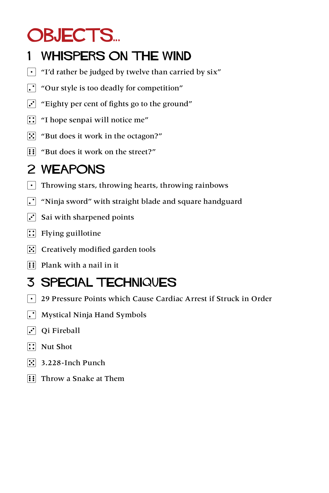## OBJECTS...

#### 1 WHISPERS ON THE WIND

- $\lceil \cdot \rceil$  "I'd rather be judged by twelve than carried by six"
- $\left| \cdot \right|$  "Our style is too deadly for competition"
- $|\cdot|$  "Eighty per cent of fights go to the ground"
- $\left| \cdot \right|$  "I hope senpai will notice me"
- $\mathbb{R}$  "But does it work in the octagon?"
- **11** "But does it work on the street?"

#### 2 WEAPONS

- $\lceil \cdot \rceil$  Throwing stars, throwing hearts, throwing rainbows
- $\lceil \cdot \rceil$  "Ninja sword" with straight blade and square handguard
- $\cdot$  Sai with sharpened points
- $\boxed{1}$  Flying guillotine
- $\mathbb{E}$  Creatively modified garden tools
- $\overline{H}$  Plank with a nail in it

### 3 SPECIAL TECHNIQUES

- 1 29 Pressure Points which Cause Cardiac Arrest if Struck in Order
- $\left| \cdot \right|$  Mystical Ninja Hand Symbols
- $\Gamma$  Qi Fireball
- $\boxed{\therefore}$  Nut Shot
- $\left| \cdot \right|$  3.228-Inch Punch
- **1:** Throw a Snake at Them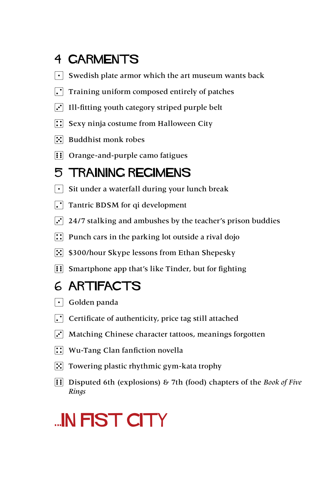#### 4 GARMENTS

- $\lceil \cdot \rceil$  Swedish plate armor which the art museum wants back
- $\lceil \cdot \rceil$  Training uniform composed entirely of patches
- $\cdot$  Ill-fitting youth category striped purple belt
- $\mathbb{R}$  Sexy ninja costume from Halloween City
- $\mathbb{E}$  Buddhist monk robes
- $\left| \right|$  Orange-and-purple camo fatigues

#### 5 TRAINING REGIMENS

- $\lvert \cdot \rvert$  Sit under a waterfall during your lunch break
- $\Gamma$  Tantric BDSM for qi development
- $\overline{3}$  24/7 stalking and ambushes by the teacher's prison buddies
- $\therefore$  Punch cars in the parking lot outside a rival dojo
- 5 \$300/hour Skype lessons from Ethan Shepesky
- **EXECUTE:** Smartphone app that's like Tinder, but for fighting

#### 6 ARTIFACTS

- $\lceil \cdot \rceil$  Golden panda
- $\Gamma$  Certificate of authenticity, price tag still attached
- $\ddot{ }$  Matching Chinese character tattoos, meanings forgotten
- $\left| \right\rangle$  Wu-Tang Clan fanfiction novella
- $\mathbb{E}$  Towering plastic rhythmic gym-kata trophy
- 6 Disputed 6th (explosions) & 7th (food) chapters of the *Book of Five Rings*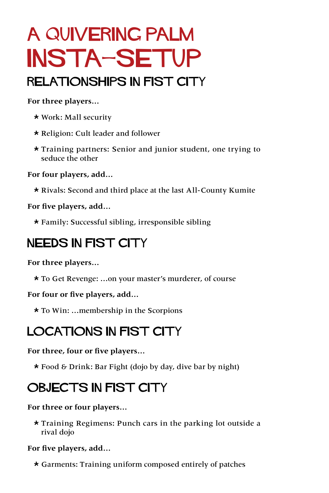## A quivering palm Insta-setup

#### Relationships in fist city

#### **For three players…**

- \* Work: Mall security
- \* Religion: Cult leader and follower
- \* Training partners: Senior and junior student, one trying to seduce the other

**For four players, add…**

\* Rivals: Second and third place at the last All-County Kumite

**For five players, add…**

\* Family: Successful sibling, irresponsible sibling

#### NEEDS IN FIST CITY

**For three players…**

\* To Get Revenge: …on your master's murderer, of course

**For four or five players, add…**

\* To Win: …membership in the Scorpions

#### Locations in fist city

**For three, four or five players…**

\* Food & Drink: Bar Fight (dojo by day, dive bar by night)

#### OBJECTS IN FIST CITY

**For three or four players…**

\* Training Regimens: Punch cars in the parking lot outside a rival dojo

**For five players, add…**

\* Garments: Training uniform composed entirely of patches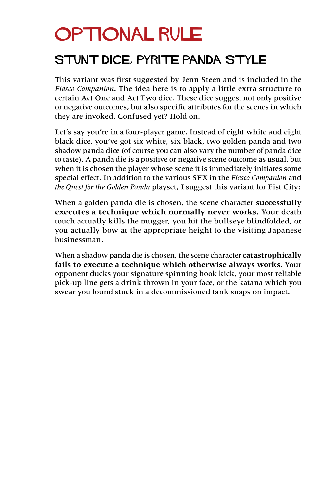## **OPTIONAL RULE**

#### STUNT DICE, PYRITE PANDA STYLE

This variant was first suggested by Jenn Steen and is included in the *Fiasco Companion*. The idea here is to apply a little extra structure to certain Act One and Act Two dice. These dice suggest not only positive or negative outcomes, but also specific attributes for the scenes in which they are invoked. Confused yet? Hold on.

Let's say you're in a four-player game. Instead of eight white and eight black dice, you've got six white, six black, two golden panda and two shadow panda dice (of course you can also vary the number of panda dice to taste). A panda die is a positive or negative scene outcome as usual, but when it is chosen the player whose scene it is immediately initiates some special effect. In addition to the various SFX in the *Fiasco Companion* and *the Quest for the Golden Panda* playset, I suggest this variant for Fist City:

When a golden panda die is chosen, the scene character **successfully executes a technique which normally never works.** Your death touch actually kills the mugger, you hit the bullseye blindfolded, or you actually bow at the appropriate height to the visiting Japanese businessman.

When a shadow panda die is chosen, the scene character **catastrophically fails to execute a technique which otherwise always works.** Your opponent ducks your signature spinning hook kick, your most reliable pick-up line gets a drink thrown in your face, or the katana which you swear you found stuck in a decommissioned tank snaps on impact.